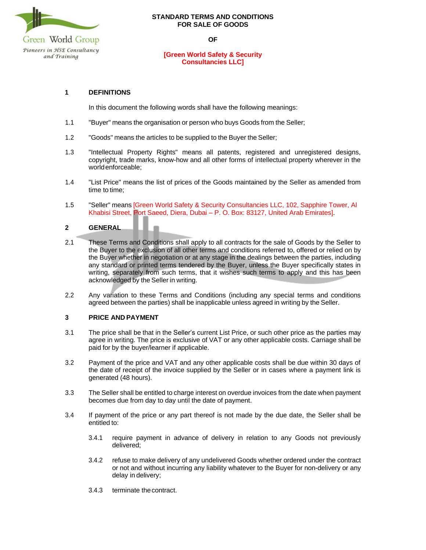

#### **STANDARD TERMS AND CONDITIONS FOR SALE OF GOODS**

**OF**

### **[Green World Safety & Security Consultancies LLC]**

# **1 DEFINITIONS**

In this document the following words shall have the following meanings:

- 1.1 "Buyer" means the organisation or person who buys Goods from the Seller;
- 1.2 "Goods" means the articles to be supplied to the Buyer the Seller;
- 1.3 "Intellectual Property Rights" means all patents, registered and unregistered designs, copyright, trade marks, know-how and all other forms of intellectual property wherever in the world enforceable;
- 1.4 "List Price" means the list of prices of the Goods maintained by the Seller as amended from time to time;
- 1.5 "Seller" means [Green World Safety & Security Consultancies LLC, 102, Sapphire Tower, Al Khabisi Street, Port Saeed, Diera, Dubai – P. O. Box: 83127, United Arab Emirates].

# **2 GENERAL**

- 2.1 These Terms and Conditions shall apply to all contracts for the sale of Goods by the Seller to the Buyer to the exclusion of all other terms and conditions referred to, offered or relied on by the Buyer whether in negotiation or at any stage in the dealings between the parties, including any standard or printed terms tendered by the Buyer, unless the Buyer specifically states in writing, separately from such terms, that it wishes such terms to apply and this has been acknowledged by the Seller in writing.
- 2.2 Any variation to these Terms and Conditions (including any special terms and conditions agreed between the parties) shall be inapplicable unless agreed in writing by the Seller.

### **3 PRICE AND PAYMENT**

- 3.1 The price shall be that in the Seller's current List Price, or such other price as the parties may agree in writing. The price is exclusive of VAT or any other applicable costs. Carriage shall be paid for by the buyer/learner if applicable.
- 3.2 Payment of the price and VAT and any other applicable costs shall be due within 30 days of the date of receipt of the invoice supplied by the Seller or in cases where a payment link is generated (48 hours).
- 3.3 The Seller shall be entitled to charge interest on overdue invoices from the date when payment becomes due from day to day until the date of payment.
- 3.4 If payment of the price or any part thereof is not made by the due date, the Seller shall be entitled to:
	- 3.4.1 require payment in advance of delivery in relation to any Goods not previously delivered;
	- 3.4.2 refuse to make delivery of any undelivered Goods whether ordered under the contract or not and without incurring any liability whatever to the Buyer for non-delivery or any delay in delivery;
	- 3.4.3 terminate thecontract.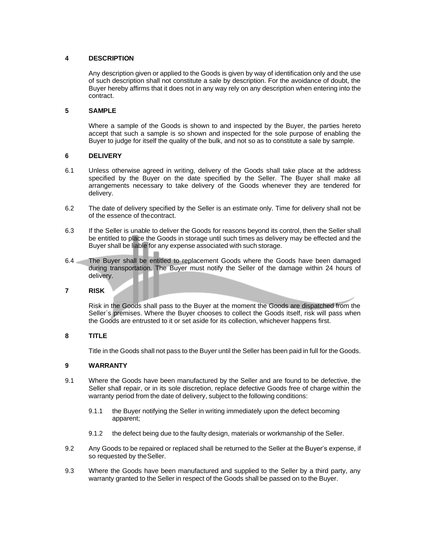### **4 DESCRIPTION**

Any description given or applied to the Goods is given by way of identification only and the use of such description shall not constitute a sale by description. For the avoidance of doubt, the Buyer hereby affirms that it does not in any way rely on any description when entering into the contract.

### **5 SAMPLE**

Where a sample of the Goods is shown to and inspected by the Buyer, the parties hereto accept that such a sample is so shown and inspected for the sole purpose of enabling the Buyer to judge for itself the quality of the bulk, and not so as to constitute a sale by sample.

# **6 DELIVERY**

- 6.1 Unless otherwise agreed in writing, delivery of the Goods shall take place at the address specified by the Buyer on the date specified by the Seller. The Buyer shall make all arrangements necessary to take delivery of the Goods whenever they are tendered for delivery.
- 6.2 The date of delivery specified by the Seller is an estimate only. Time for delivery shall not be of the essence of thecontract.
- 6.3 If the Seller is unable to deliver the Goods for reasons beyond its control, then the Seller shall be entitled to place the Goods in storage until such times as delivery may be effected and the Buyer shall be liable for any expense associated with such storage.
- 6.4 The Buyer shall be entitled to replacement Goods where the Goods have been damaged during transportation. The Buyer must notify the Seller of the damage within 24 hours of delivery.
- **7 RISK**

Risk in the Goods shall pass to the Buyer at the moment the Goods are dispatched from the Seller`s premises. Where the Buyer chooses to collect the Goods itself, risk will pass when the Goods are entrusted to it or set aside for its collection, whichever happens first.

### **8 TITLE**

Title in the Goods shall not pass to the Buyer until the Seller has been paid in full for the Goods.

### **9 WARRANTY**

- 9.1 Where the Goods have been manufactured by the Seller and are found to be defective, the Seller shall repair, or in its sole discretion, replace defective Goods free of charge within the warranty period from the date of delivery, subject to the following conditions:
	- 9.1.1 the Buyer notifying the Seller in writing immediately upon the defect becoming apparent;
	- 9.1.2 the defect being due to the faulty design, materials or workmanship of the Seller.
- 9.2 Any Goods to be repaired or replaced shall be returned to the Seller at the Buyer's expense, if so requested by the Seller.
- 9.3 Where the Goods have been manufactured and supplied to the Seller by a third party, any warranty granted to the Seller in respect of the Goods shall be passed on to the Buyer.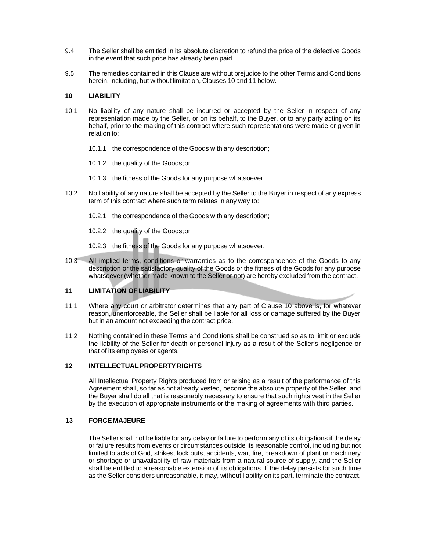- 9.4 The Seller shall be entitled in its absolute discretion to refund the price of the defective Goods in the event that such price has already been paid.
- 9.5 The remedies contained in this Clause are without prejudice to the other Terms and Conditions herein, including, but without limitation, Clauses 10 and 11 below.

### **10 LIABILITY**

- 10.1 No liability of any nature shall be incurred or accepted by the Seller in respect of any representation made by the Seller, or on its behalf, to the Buyer, or to any party acting on its behalf, prior to the making of this contract where such representations were made or given in relation to:
	- 10.1.1 the correspondence of the Goods with any description;
	- 10.1.2 the quality of the Goods;or
	- 10.1.3 the fitness of the Goods for any purpose whatsoever.
- 10.2 No liability of any nature shall be accepted by the Seller to the Buyer in respect of any express term of this contract where such term relates in any way to:
	- 10.2.1 the correspondence of the Goods with any description;
	- 10.2.2 the quality of the Goods;or
	- 10.2.3 the fitness of the Goods for any purpose whatsoever.
- 10.3 All implied terms, conditions or warranties as to the correspondence of the Goods to any description or the satisfactory quality of the Goods or the fitness of the Goods for any purpose whatsoever (whether made known to the Seller or not) are hereby excluded from the contract.

### **11 LIMITATION OFLIABILITY**

- 11.1 Where any court or arbitrator determines that any part of Clause 10 above is, for whatever reason, unenforceable, the Seller shall be liable for all loss or damage suffered by the Buyer but in an amount not exceeding the contract price.
- 11.2 Nothing contained in these Terms and Conditions shall be construed so as to limit or exclude the liability of the Seller for death or personal injury as a result of the Seller's negligence or that of its employees or agents.

### **12 INTELLECTUALPROPERTYRIGHTS**

All Intellectual Property Rights produced from or arising as a result of the performance of this Agreement shall, so far as not already vested, become the absolute property of the Seller, and the Buyer shall do all that is reasonably necessary to ensure that such rights vest in the Seller by the execution of appropriate instruments or the making of agreements with third parties.

#### **13 FORCEMAJEURE**

The Seller shall not be liable for any delay or failure to perform any of its obligations if the delay or failure results from events or circumstances outside its reasonable control, including but not limited to acts of God, strikes, lock outs, accidents, war, fire, breakdown of plant or machinery or shortage or unavailability of raw materials from a natural source of supply, and the Seller shall be entitled to a reasonable extension of its obligations. If the delay persists for such time as the Seller considers unreasonable, it may, without liability on its part, terminate the contract.